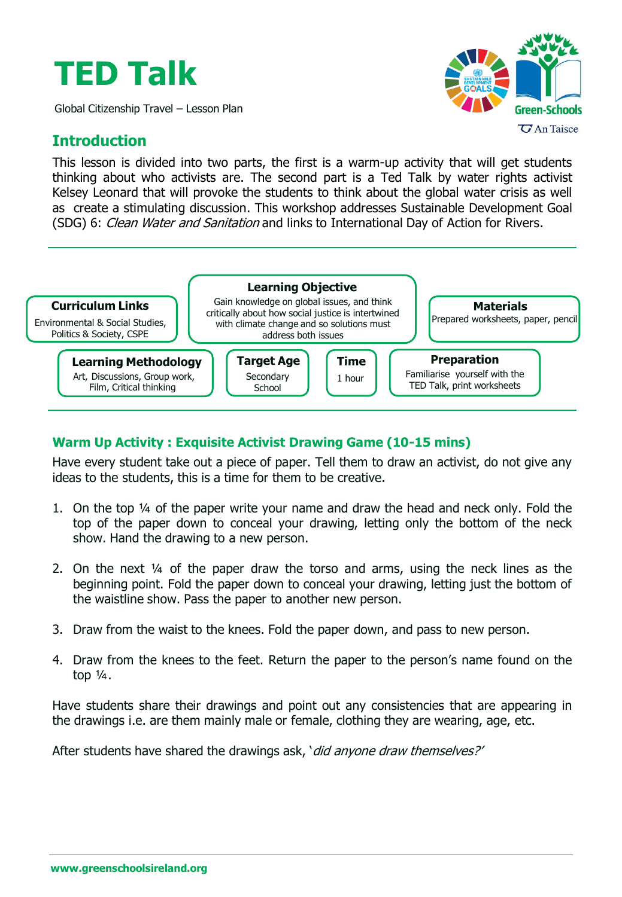# **TED Talk**

Global Citizenship Travel – Lesson Plan

## **Introduction**

This lesson is divided into two parts, the first is a warm-up activity that will get students thinking about who activists are. The second part is a Ted Talk by water rights activist Kelsey Leonard that will provoke the students to think about the global water crisis as well as create a stimulating discussion. This workshop addresses Sustainable Development Goal (SDG) 6: Clean Water and Sanitation and links to International Day of Action for Rivers.



### **Warm Up Activity : Exquisite Activist Drawing Game (10-15 mins)**

Have every student take out a piece of paper. Tell them to draw an activist, do not give any ideas to the students, this is a time for them to be creative.

- 1. On the top ¼ of the paper write your name and draw the head and neck only. Fold the top of the paper down to conceal your drawing, letting only the bottom of the neck show. Hand the drawing to a new person.
- 2. On the next  $\frac{1}{4}$  of the paper draw the torso and arms, using the neck lines as the beginning point. Fold the paper down to conceal your drawing, letting just the bottom of the waistline show. Pass the paper to another new person.
- 3. Draw from the waist to the knees. Fold the paper down, and pass to new person.
- 4. Draw from the knees to the feet. Return the paper to the person's name found on the top  $\frac{1}{4}$ .

Have students share their drawings and point out any consistencies that are appearing in the drawings i.e. are them mainly male or female, clothing they are wearing, age, etc.

After students have shared the drawings ask, 'did anyone draw themselves?'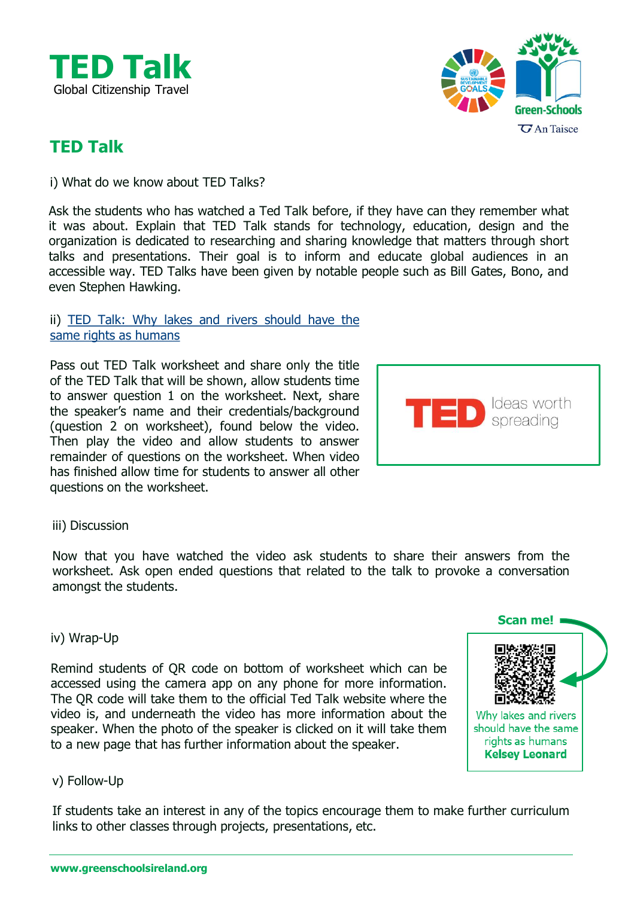



# **TED Talk**

i) What do we know about TED Talks?

Ask the students who has watched a Ted Talk before, if they have can they remember what it was about. Explain that TED Talk stands for technology, education, design and the organization is dedicated to researching and sharing knowledge that matters through short talks and presentations. Their goal is to inform and educate global audiences in an accessible way. TED Talks have been given by notable people such as Bill Gates, Bono, and even Stephen Hawking.

#### ii) TED Talk: Why lakes and rivers should have the same rights as [humans](https://www.ted.com/talks/kelsey_leonard_why_lakes_and_rivers_should_have_the_same_rights_as_humans?language=en)

Pass out TED Talk worksheet and share only the title of the TED Talk that will be shown, allow students time to answer question 1 on the worksheet. Next, share the speaker's name and their credentials/background (question 2 on worksheet), found below the video. Then play the video and allow students to answer remainder of questions on the worksheet. When video has finished allow time for students to answer all other questions on the worksheet.



#### iii) Discussion

Now that you have watched the video ask students to share their answers from the worksheet. Ask open ended questions that related to the talk to provoke a conversation amongst the students.

#### iv) Wrap-Up

Remind students of QR code on bottom of worksheet which can be accessed using the camera app on any phone for more information. The QR code will take them to the official Ted Talk website where the video is, and underneath the video has more information about the speaker. When the photo of the speaker is clicked on it will take them to a new page that has further information about the speaker.



#### v) Follow-Up

If students take an interest in any of the topics encourage them to make further curriculum links to other classes through projects, presentations, etc.